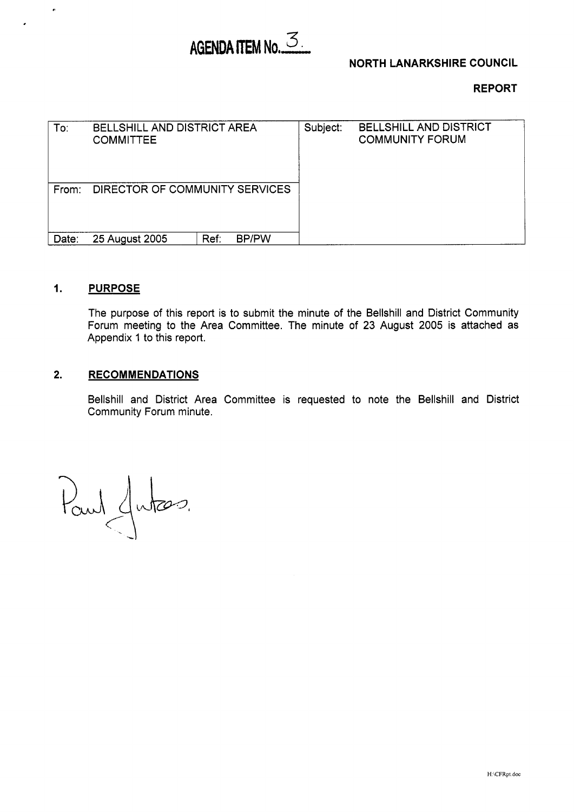# AGENDA ITEM No.  $\mathcal{Z}_{\mathbf{L}}$

# **NORTH LANARKSHIRE COUNCIL**

**REPORT** 

| To:   | <b>BELLSHILL AND DISTRICT AREA</b><br><b>COMMITTEE</b> |                      | Subject: | <b>BELLSHILL AND DISTRICT</b><br><b>COMMUNITY FORUM</b> |
|-------|--------------------------------------------------------|----------------------|----------|---------------------------------------------------------|
| From: | DIRECTOR OF COMMUNITY SERVICES                         |                      |          |                                                         |
| Date: | 25 August 2005                                         | <b>BP/PW</b><br>Ref. |          |                                                         |

### **1. PURPOSE**

 $\hat{\boldsymbol{p}}$ 

The purpose of this report is to submit the minute of the Bellshill and District Community Forum meeting to the Area Committee. The minute of 23 August 2005 is attached as Appendix 1 to this report.

## **2. RECOMMENDATIONS**

Bellshill and District Area Committee is requested to note the Bellshill and District Community Forum minute.

Paul Jutas.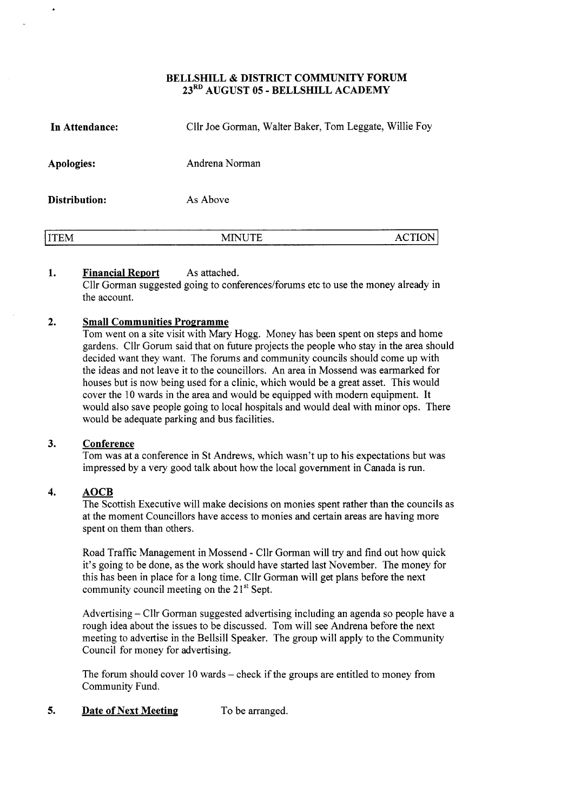### **BELLSHILL** & **DISTRICT COMMUNITY FORUM 23RD AUGUST 05** - **BELLSHILL ACADEMY**

| In Attendance: | Cllr Joe Gorman, Walter Baker, Tom Leggate, Willie Foy |               |
|----------------|--------------------------------------------------------|---------------|
| Apologies:     | Andrena Norman                                         |               |
| Distribution:  | As Above                                               |               |
| <b>ITEM</b>    | <b>MINUTE</b>                                          | <b>ACTION</b> |

#### **1. Financial Report** As attached.

Cllr Gorman suggested going to conferences/forums etc to use the money already in the account.

#### **2. Small Communities Programme**

Tom went on a site visit with Mary Hogg. Money has been spent on steps and home gardens. Cllr Gorum said that on future projects the people who stay in the area should decided want they want. The forums and community councils should come up with the ideas and not leave it to the councillors. An area in Mossend was earmarked for houses but is now being used for a clinic, which would be a great asset. This would cover the 10 wards in the area and would be equipped with modern equipment. It would also save people going to local hospitals and would deal with minor ops. There would be adequate parking and bus facilities.

#### **3. Conference**

Tom was at a conference in St Andrews, which wasn't up to his expectations but was impressed by a very good talk about how the local government in Canada is run.

#### **4. AOCB**

The Scottish Executive will make decisions on monies spent rather than the councils as at the moment Councillors have access to monies and certain areas are having more spent on them than others.

Road Traffic Management in Mossend - Cllr Gorman will try and find out how quick it's going to be done, as the work should have started last November. The money for this has been in place for a long time. Cllr Gorman will get plans before the next community council meeting on the 21<sup>st</sup> Sept.

Advertising - Cllr Gorman suggested advertising including an agenda so people have a rough idea about the issues to be discussed. Tom will see Andrena before the next meeting to advertise in the Bellsill Speaker. The group will apply to the Community Council for money for advertising.

The forum should cover  $10$  wards – check if the groups are entitled to money from Community Fund.

#### *5.*  **Date of Next Meeting** To be arranged.